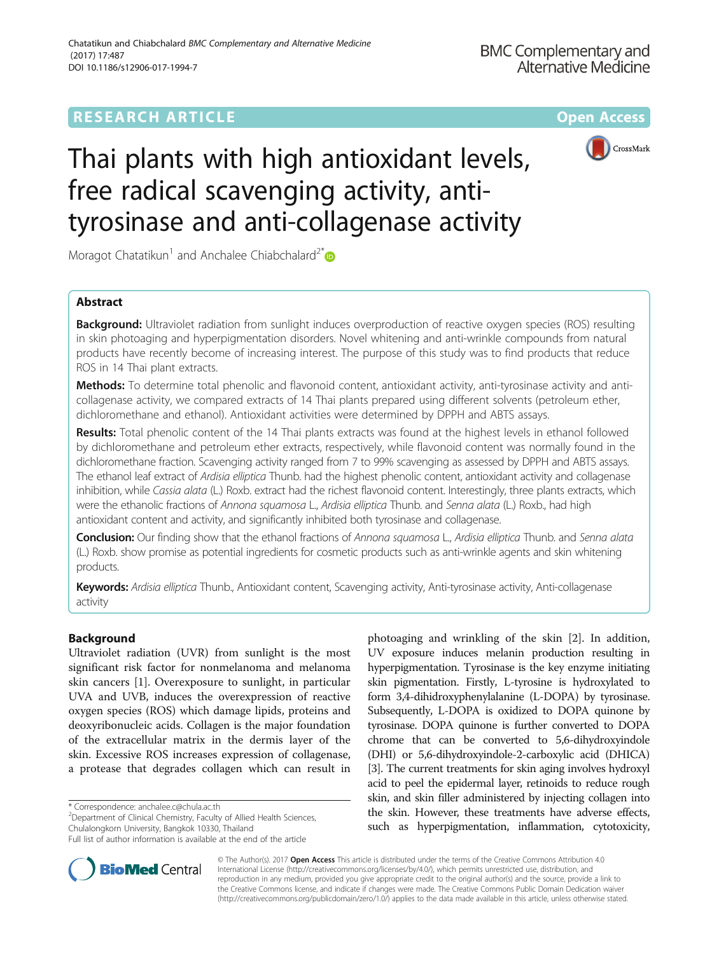## **RESEARCH ARTICLE Example 2014 12:30 The Community Community Community Community Community Community Community**



# Thai plants with high antioxidant levels, free radical scavenging activity, antityrosinase and anti-collagenase activity

Moragot Chatatikun<sup>1</sup> and Anchalee Chiabchalard<sup>2\*</sup>

## Abstract

**Background:** Ultraviolet radiation from sunlight induces overproduction of reactive oxygen species (ROS) resulting in skin photoaging and hyperpigmentation disorders. Novel whitening and anti-wrinkle compounds from natural products have recently become of increasing interest. The purpose of this study was to find products that reduce ROS in 14 Thai plant extracts.

Methods: To determine total phenolic and flavonoid content, antioxidant activity, anti-tyrosinase activity and anticollagenase activity, we compared extracts of 14 Thai plants prepared using different solvents (petroleum ether, dichloromethane and ethanol). Antioxidant activities were determined by DPPH and ABTS assays.

Results: Total phenolic content of the 14 Thai plants extracts was found at the highest levels in ethanol followed by dichloromethane and petroleum ether extracts, respectively, while flavonoid content was normally found in the dichloromethane fraction. Scavenging activity ranged from 7 to 99% scavenging as assessed by DPPH and ABTS assays. The ethanol leaf extract of Ardisia elliptica Thunb. had the highest phenolic content, antioxidant activity and collagenase inhibition, while Cassia alata (L.) Roxb. extract had the richest flavonoid content. Interestingly, three plants extracts, which were the ethanolic fractions of Annona squamosa L., Ardisia elliptica Thunb. and Senna alata (L.) Roxb., had high antioxidant content and activity, and significantly inhibited both tyrosinase and collagenase.

Conclusion: Our finding show that the ethanol fractions of Annona squamosa L., Ardisia elliptica Thunb. and Senna alata (L.) Roxb. show promise as potential ingredients for cosmetic products such as anti-wrinkle agents and skin whitening products.

Keywords: Ardisia elliptica Thunb., Antioxidant content, Scavenging activity, Anti-tyrosinase activity, Anti-collagenase activity

## Background

Ultraviolet radiation (UVR) from sunlight is the most significant risk factor for nonmelanoma and melanoma skin cancers [\[1](#page-8-0)]. Overexposure to sunlight, in particular UVA and UVB, induces the overexpression of reactive oxygen species (ROS) which damage lipids, proteins and deoxyribonucleic acids. Collagen is the major foundation of the extracellular matrix in the dermis layer of the skin. Excessive ROS increases expression of collagenase, a protease that degrades collagen which can result in

\* Correspondence: [anchalee.c@chula.ac.th](mailto:anchalee.c@chula.ac.th) <sup>2</sup>

<sup>2</sup>Department of Clinical Chemistry, Faculty of Allied Health Sciences, Chulalongkorn University, Bangkok 10330, Thailand

photoaging and wrinkling of the skin [\[2\]](#page-8-0). In addition, UV exposure induces melanin production resulting in hyperpigmentation. Tyrosinase is the key enzyme initiating skin pigmentation. Firstly, L-tyrosine is hydroxylated to form 3,4-dihidroxyphenylalanine (L-DOPA) by tyrosinase. Subsequently, L-DOPA is oxidized to DOPA quinone by tyrosinase. DOPA quinone is further converted to DOPA chrome that can be converted to 5,6-dihydroxyindole (DHI) or 5,6-dihydroxyindole-2-carboxylic acid (DHICA) [[3](#page-8-0)]. The current treatments for skin aging involves hydroxyl acid to peel the epidermal layer, retinoids to reduce rough skin, and skin filler administered by injecting collagen into the skin. However, these treatments have adverse effects, such as hyperpigmentation, inflammation, cytotoxicity,



© The Author(s). 2017 **Open Access** This article is distributed under the terms of the Creative Commons Attribution 4.0 International License [\(http://creativecommons.org/licenses/by/4.0/](http://creativecommons.org/licenses/by/4.0/)), which permits unrestricted use, distribution, and reproduction in any medium, provided you give appropriate credit to the original author(s) and the source, provide a link to the Creative Commons license, and indicate if changes were made. The Creative Commons Public Domain Dedication waiver [\(http://creativecommons.org/publicdomain/zero/1.0/](http://creativecommons.org/publicdomain/zero/1.0/)) applies to the data made available in this article, unless otherwise stated.

Full list of author information is available at the end of the article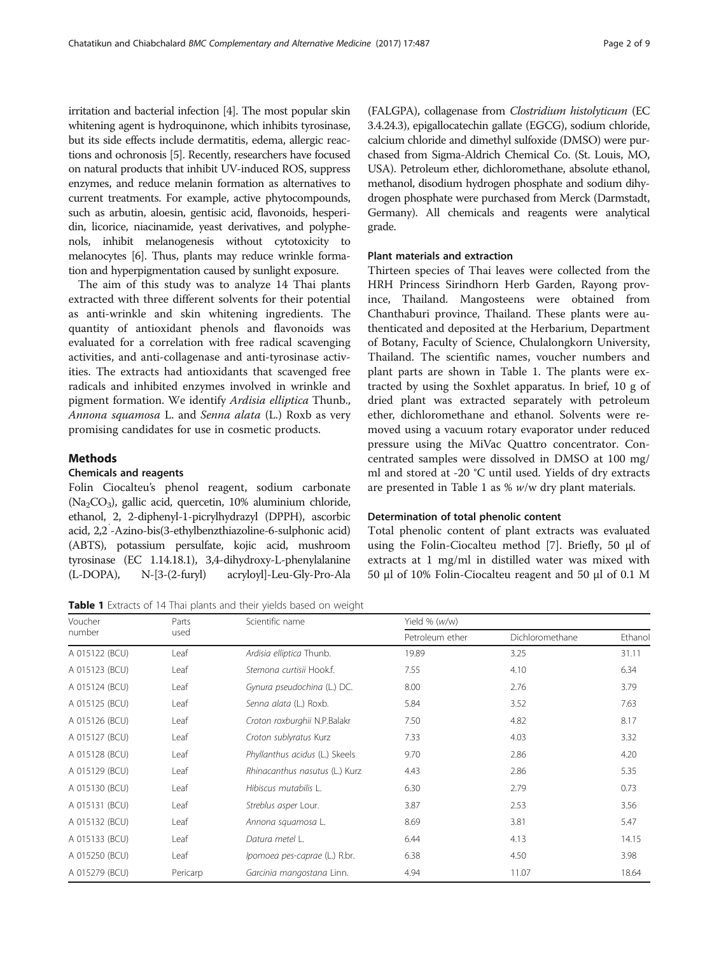<span id="page-1-0"></span>irritation and bacterial infection [[4](#page-8-0)]. The most popular skin whitening agent is hydroquinone, which inhibits tyrosinase, but its side effects include dermatitis, edema, allergic reactions and ochronosis [[5](#page-8-0)]. Recently, researchers have focused on natural products that inhibit UV-induced ROS, suppress enzymes, and reduce melanin formation as alternatives to current treatments. For example, active phytocompounds, such as arbutin, aloesin, gentisic acid, flavonoids, hesperidin, licorice, niacinamide, yeast derivatives, and polyphenols, inhibit melanogenesis without cytotoxicity to melanocytes [\[6\]](#page-8-0). Thus, plants may reduce wrinkle formation and hyperpigmentation caused by sunlight exposure.

The aim of this study was to analyze 14 Thai plants extracted with three different solvents for their potential as anti-wrinkle and skin whitening ingredients. The quantity of antioxidant phenols and flavonoids was evaluated for a correlation with free radical scavenging activities, and anti-collagenase and anti-tyrosinase activities. The extracts had antioxidants that scavenged free radicals and inhibited enzymes involved in wrinkle and pigment formation. We identify Ardisia elliptica Thunb., Annona squamosa L. and Senna alata (L.) Roxb as very promising candidates for use in cosmetic products.

## Methods

#### Chemicals and reagents

Folin Ciocalteu's phenol reagent, sodium carbonate  $(Na_2CO_3)$ , gallic acid, quercetin, 10% aluminium chloride, ethanol, 2, 2-diphenyl-1-picrylhydrazyl (DPPH), ascorbic acid, 2,2′ -Azino-bis(3-ethylbenzthiazoline-6-sulphonic acid) (ABTS), potassium persulfate, kojic acid, mushroom tyrosinase (EC 1.14.18.1), 3,4-dihydroxy-L-phenylalanine (L-DOPA), N-[3-(2-furyl) acryloyl]-Leu-Gly-Pro-Ala

Table 1 Extracts of 14 Thai plants and their yields based on weight

(FALGPA), collagenase from Clostridium histolyticum (EC 3.4.24.3), epigallocatechin gallate (EGCG), sodium chloride, calcium chloride and dimethyl sulfoxide (DMSO) were purchased from Sigma-Aldrich Chemical Co. (St. Louis, MO, USA). Petroleum ether, dichloromethane, absolute ethanol, methanol, disodium hydrogen phosphate and sodium dihydrogen phosphate were purchased from Merck (Darmstadt, Germany). All chemicals and reagents were analytical grade.

## Plant materials and extraction

Thirteen species of Thai leaves were collected from the HRH Princess Sirindhorn Herb Garden, Rayong province, Thailand. Mangosteens were obtained from Chanthaburi province, Thailand. These plants were authenticated and deposited at the Herbarium, Department of Botany, Faculty of Science, Chulalongkorn University, Thailand. The scientific names, voucher numbers and plant parts are shown in Table 1. The plants were extracted by using the Soxhlet apparatus. In brief, 10 g of dried plant was extracted separately with petroleum ether, dichloromethane and ethanol. Solvents were removed using a vacuum rotary evaporator under reduced pressure using the MiVac Quattro concentrator. Concentrated samples were dissolved in DMSO at 100 mg/ ml and stored at -20 °C until used. Yields of dry extracts are presented in Table 1 as % w/w dry plant materials.

#### Determination of total phenolic content

Total phenolic content of plant extracts was evaluated using the Folin-Ciocalteu method [[7](#page-8-0)]. Briefly, 50 μl of extracts at 1 mg/ml in distilled water was mixed with 50 μl of 10% Folin-Ciocalteu reagent and 50 μl of 0.1 M

| Voucher        | Parts    | Scientific name                | Yield % (w/w)   |                 |         |
|----------------|----------|--------------------------------|-----------------|-----------------|---------|
| number         | used     |                                | Petroleum ether | Dichloromethane | Ethanol |
| A 015122 (BCU) | Leaf     | Ardisia elliptica Thunb.       | 19.89           | 3.25            | 31.11   |
| A 015123 (BCU) | Leaf     | Stemona curtisii Hook.f.       | 7.55            | 4.10            | 6.34    |
| A 015124 (BCU) | Leaf     | Gynura pseudochina (L.) DC.    | 8.00            | 2.76            | 3.79    |
| A 015125 (BCU) | Leaf     | Senna alata (L.) Roxb.         | 5.84            | 3.52            | 7.63    |
| A 015126 (BCU) | Leaf     | Croton roxburghii N.P.Balakr   | 7.50            | 4.82            | 8.17    |
| A 015127 (BCU) | Leaf     | Croton sublyratus Kurz         | 7.33            | 4.03            | 3.32    |
| A 015128 (BCU) | Leaf     | Phyllanthus acidus (L.) Skeels | 9.70            | 2.86            | 4.20    |
| A 015129 (BCU) | Leaf     | Rhinacanthus nasutus (L.) Kurz | 4.43            | 2.86            | 5.35    |
| A 015130 (BCU) | Leaf     | Hibiscus mutabilis L.          | 6.30            | 2.79            | 0.73    |
| A 015131 (BCU) | Leaf     | Streblus asper Lour.           | 3.87            | 2.53            | 3.56    |
| A 015132 (BCU) | Leaf     | Annona squamosa L.             | 8.69            | 3.81            | 5.47    |
| A 015133 (BCU) | Leaf     | Datura metel L.                | 6.44            | 4.13            | 14.15   |
| A 015250 (BCU) | Leaf     | Ipomoea pes-caprae (L.) R.br.  | 6.38            | 4.50            | 3.98    |
| A 015279 (BCU) | Pericarp | Garcinia mangostana Linn.      | 4.94            | 11.07           | 18.64   |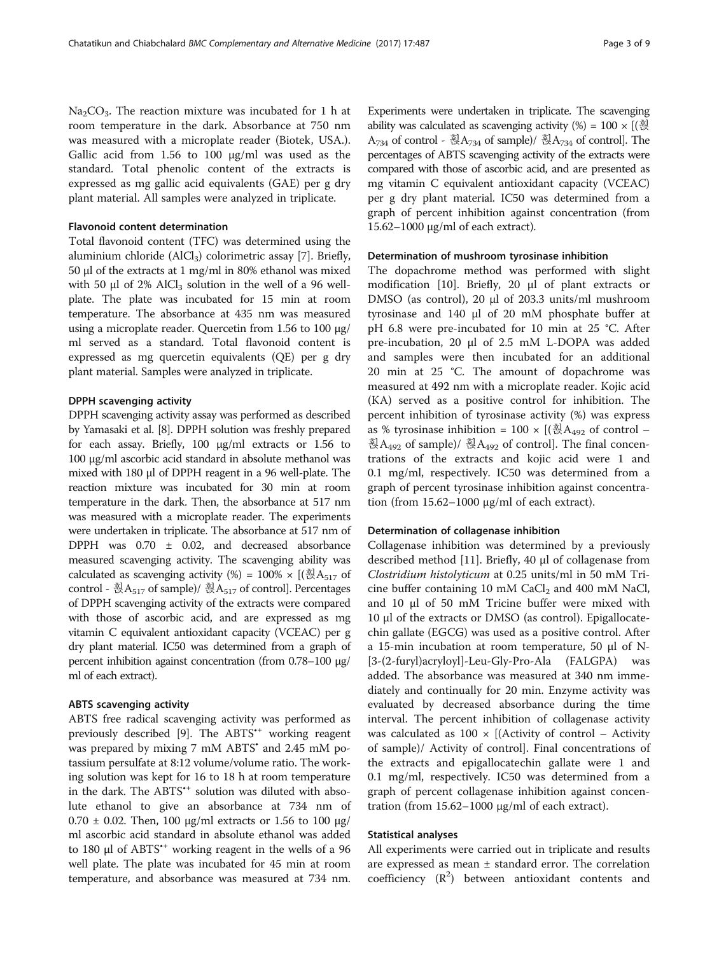$Na<sub>2</sub>CO<sub>3</sub>$ . The reaction mixture was incubated for 1 h at room temperature in the dark. Absorbance at 750 nm was measured with a microplate reader (Biotek, USA.). Gallic acid from 1.56 to 100 μg/ml was used as the standard. Total phenolic content of the extracts is expressed as mg gallic acid equivalents (GAE) per g dry plant material. All samples were analyzed in triplicate.

## Flavonoid content determination

Total flavonoid content (TFC) was determined using the aluminium chloride  $(AICI<sub>3</sub>)$  colorimetric assay [[7](#page-8-0)]. Briefly, 50 μl of the extracts at 1 mg/ml in 80% ethanol was mixed with 50  $\mu$ l of 2% AlCl<sub>3</sub> solution in the well of a 96 wellplate. The plate was incubated for 15 min at room temperature. The absorbance at 435 nm was measured using a microplate reader. Quercetin from 1.56 to 100 μg/ ml served as a standard. Total flavonoid content is expressed as mg quercetin equivalents (QE) per g dry plant material. Samples were analyzed in triplicate.

## DPPH scavenging activity

DPPH scavenging activity assay was performed as described by Yamasaki et al. [[8](#page-8-0)]. DPPH solution was freshly prepared for each assay. Briefly, 100 μg/ml extracts or 1.56 to 100 μg/ml ascorbic acid standard in absolute methanol was mixed with 180 μl of DPPH reagent in a 96 well-plate. The reaction mixture was incubated for 30 min at room temperature in the dark. Then, the absorbance at 517 nm was measured with a microplate reader. The experiments were undertaken in triplicate. The absorbance at 517 nm of DPPH was 0.70 ± 0.02, and decreased absorbance measured scavenging activity. The scavenging ability was calculated as scavenging activity (%) =  $100\% \times$  [( $\overline{\textless}A_{517}$  of control - 휝A<sub>517</sub> of sample)/ 훥A<sub>517</sub> of control]. Percentages of DPPH scavenging activity of the extracts were compared with those of ascorbic acid, and are expressed as mg vitamin C equivalent antioxidant capacity (VCEAC) per g dry plant material. IC50 was determined from a graph of percent inhibition against concentration (from 0.78–100 μg/ ml of each extract).

#### ABTS scavenging activity

ABTS free radical scavenging activity was performed as previously described [\[9](#page-8-0)]. The ABTS<sup>\*+</sup> working reagent was prepared by mixing 7 mM ABTS<sup>•</sup> and 2.45 mM potassium persulfate at 8:12 volume/volume ratio. The working solution was kept for 16 to 18 h at room temperature in the dark. The ABTS<sup>\*\*</sup> solution was diluted with absolute ethanol to give an absorbance at 734 nm of 0.70 ± 0.02. Then, 100 μg/ml extracts or 1.56 to 100 μg/ ml ascorbic acid standard in absolute ethanol was added to 180 μl of ABTS•<sup>+</sup> working reagent in the wells of a 96 well plate. The plate was incubated for 45 min at room temperature, and absorbance was measured at 734 nm.

Experiments were undertaken in triplicate. The scavenging ability was calculated as scavenging activity  $(\%) = 100 \times [(\frac{3}{12})]$ A734 of control - 훥A734 of sample)/ 훥A734 of control]. The percentages of ABTS scavenging activity of the extracts were compared with those of ascorbic acid, and are presented as mg vitamin C equivalent antioxidant capacity (VCEAC) per g dry plant material. IC50 was determined from a graph of percent inhibition against concentration (from 15.62–1000 μg/ml of each extract).

#### Determination of mushroom tyrosinase inhibition

The dopachrome method was performed with slight modification [\[10](#page-8-0)]. Briefly, 20 μl of plant extracts or DMSO (as control), 20 μl of 203.3 units/ml mushroom tyrosinase and 140 μl of 20 mM phosphate buffer at pH 6.8 were pre-incubated for 10 min at 25 °C. After pre-incubation, 20 μl of 2.5 mM L-DOPA was added and samples were then incubated for an additional 20 min at 25 °C. The amount of dopachrome was measured at 492 nm with a microplate reader. Kojic acid (KA) served as a positive control for inhibition. The percent inhibition of tyrosinase activity (%) was express as % tyrosinase inhibition = 100  $\times$  [( $\bar{\otimes}$ A<sub>492</sub> of control – 훥A<sub>492</sub> of sample)/ 훥A<sub>492</sub> of control]. The final concentrations of the extracts and kojic acid were 1 and 0.1 mg/ml, respectively. IC50 was determined from a graph of percent tyrosinase inhibition against concentration (from 15.62–1000 μg/ml of each extract).

#### Determination of collagenase inhibition

Collagenase inhibition was determined by a previously described method [\[11](#page-8-0)]. Briefly, 40 μl of collagenase from Clostridium histolyticum at 0.25 units/ml in 50 mM Tricine buffer containing 10 mM  $CaCl<sub>2</sub>$  and 400 mM NaCl, and 10 μl of 50 mM Tricine buffer were mixed with 10 μl of the extracts or DMSO (as control). Epigallocatechin gallate (EGCG) was used as a positive control. After a 15-min incubation at room temperature, 50 μl of N- [3-(2-furyl)acryloyl]-Leu-Gly-Pro-Ala (FALGPA) was added. The absorbance was measured at 340 nm immediately and continually for 20 min. Enzyme activity was evaluated by decreased absorbance during the time interval. The percent inhibition of collagenase activity was calculated as  $100 \times$  [(Activity of control – Activity of sample)/ Activity of control]. Final concentrations of the extracts and epigallocatechin gallate were 1 and 0.1 mg/ml, respectively. IC50 was determined from a graph of percent collagenase inhibition against concentration (from 15.62–1000 μg/ml of each extract).

#### Statistical analyses

All experiments were carried out in triplicate and results are expressed as mean ± standard error. The correlation coefficiency  $(R^2)$  between antioxidant contents and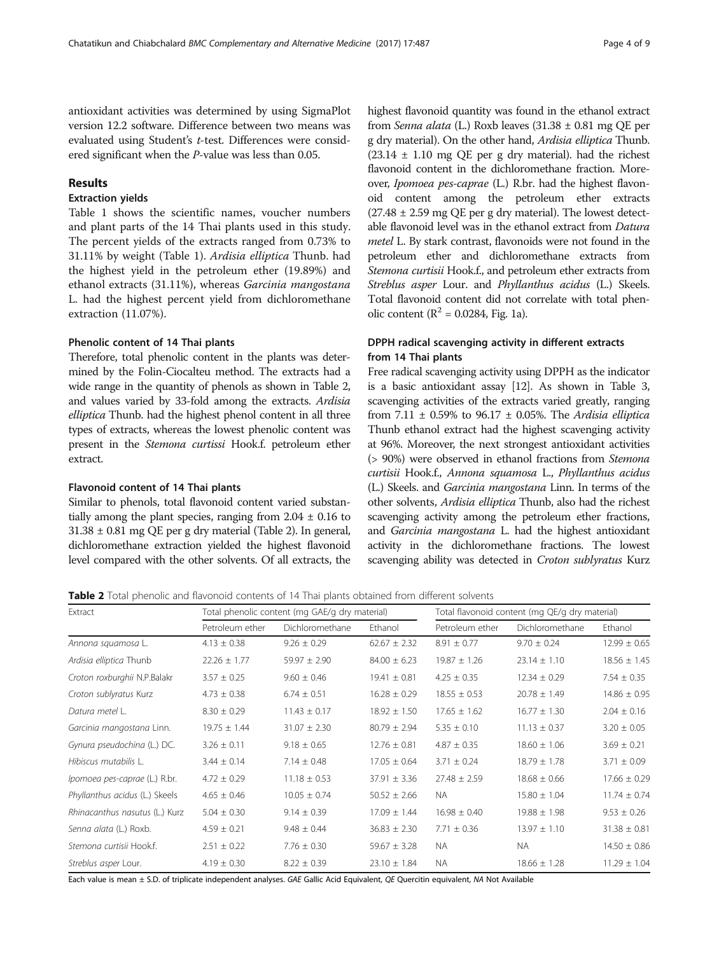<span id="page-3-0"></span>antioxidant activities was determined by using SigmaPlot version 12.2 software. Difference between two means was evaluated using Student's t-test. Differences were considered significant when the P-value was less than 0.05.

## Results

## Extraction yields

Table [1](#page-1-0) shows the scientific names, voucher numbers and plant parts of the 14 Thai plants used in this study. The percent yields of the extracts ranged from 0.73% to 31.11% by weight (Table [1](#page-1-0)). Ardisia elliptica Thunb. had the highest yield in the petroleum ether (19.89%) and ethanol extracts (31.11%), whereas Garcinia mangostana L. had the highest percent yield from dichloromethane extraction (11.07%).

#### Phenolic content of 14 Thai plants

Therefore, total phenolic content in the plants was determined by the Folin-Ciocalteu method. The extracts had a wide range in the quantity of phenols as shown in Table 2, and values varied by 33-fold among the extracts. Ardisia elliptica Thunb. had the highest phenol content in all three types of extracts, whereas the lowest phenolic content was present in the Stemona curtissi Hook.f. petroleum ether extract.

## Flavonoid content of 14 Thai plants

Similar to phenols, total flavonoid content varied substantially among the plant species, ranging from  $2.04 \pm 0.16$  to  $31.38 \pm 0.81$  mg QE per g dry material (Table 2). In general, dichloromethane extraction yielded the highest flavonoid level compared with the other solvents. Of all extracts, the highest flavonoid quantity was found in the ethanol extract from Senna alata (L.) Roxb leaves  $(31.38 \pm 0.81 \text{ mg QE per})$ g dry material). On the other hand, Ardisia elliptica Thunb.  $(23.14 \pm 1.10 \text{ mg} \text{ QE per g dry material})$ . had the richest flavonoid content in the dichloromethane fraction. Moreover, Ipomoea pes-caprae (L.) R.br. had the highest flavonoid content among the petroleum ether extracts  $(27.48 \pm 2.59 \text{ mg} \cdot \text{OE})$  per g dry material). The lowest detectable flavonoid level was in the ethanol extract from Datura metel L. By stark contrast, flavonoids were not found in the petroleum ether and dichloromethane extracts from Stemona curtisii Hook.f., and petroleum ether extracts from Streblus asper Lour. and Phyllanthus acidus (L.) Skeels. Total flavonoid content did not correlate with total phenolic content ( $R^2 = 0.0284$ , Fig. [1a](#page-4-0)).

## DPPH radical scavenging activity in different extracts from 14 Thai plants

Free radical scavenging activity using DPPH as the indicator is a basic antioxidant assay [\[12](#page-8-0)]. As shown in Table [3](#page-4-0), scavenging activities of the extracts varied greatly, ranging from 7.11  $\pm$  0.59% to 96.17  $\pm$  0.05%. The Ardisia elliptica Thunb ethanol extract had the highest scavenging activity at 96%. Moreover, the next strongest antioxidant activities (> 90%) were observed in ethanol fractions from Stemona curtisii Hook.f., Annona squamosa L., Phyllanthus acidus (L.) Skeels. and Garcinia mangostana Linn. In terms of the other solvents, Ardisia elliptica Thunb, also had the richest scavenging activity among the petroleum ether fractions, and Garcinia mangostana L. had the highest antioxidant activity in the dichloromethane fractions. The lowest scavenging ability was detected in Croton sublyratus Kurz

Table 2 Total phenolic and flavonoid contents of 14 Thai plants obtained from different solvents

| Extract                        |                  | Total phenolic content (mg GAE/g dry material) |                  |                  | Total flavonoid content (mg QE/g dry material) |                  |
|--------------------------------|------------------|------------------------------------------------|------------------|------------------|------------------------------------------------|------------------|
|                                | Petroleum ether  | Dichloromethane                                | Ethanol          | Petroleum ether  | Dichloromethane                                | Ethanol          |
| Annona squamosa L.             | $4.13 \pm 0.38$  | $9.26 \pm 0.29$                                | $62.67 \pm 2.32$ | $8.91 \pm 0.77$  | $9.70 \pm 0.24$                                | $12.99 \pm 0.65$ |
| Ardisia elliptica Thunb        | $22.26 \pm 1.77$ | $59.97 \pm 2.90$                               | $84.00 \pm 6.23$ | $19.87 \pm 1.26$ | $23.14 \pm 1.10$                               | $18.56 \pm 1.45$ |
| Croton roxburghii N.P.Balakr   | $3.57 \pm 0.25$  | $9.60 \pm 0.46$                                | $19.41 \pm 0.81$ | $4.25 \pm 0.35$  | $12.34 \pm 0.29$                               | $7.54 \pm 0.35$  |
| Croton sublyratus Kurz         | $4.73 \pm 0.38$  | $6.74 \pm 0.51$                                | $16.28 \pm 0.29$ | $18.55 \pm 0.53$ | $20.78 \pm 1.49$                               | $14.86 \pm 0.95$ |
| Datura metel L.                | $8.30 \pm 0.29$  | $11.43 \pm 0.17$                               | $18.92 \pm 1.50$ | $17.65 \pm 1.62$ | $16.77 \pm 1.30$                               | $2.04 \pm 0.16$  |
| Garcinia mangostana Linn.      | $19.75 \pm 1.44$ | $31.07 \pm 2.30$                               | $80.79 \pm 2.94$ | $5.35 \pm 0.10$  | $11.13 \pm 0.37$                               | $3.20 \pm 0.05$  |
| Gynura pseudochina (L.) DC.    | $3.26 \pm 0.11$  | $9.18 \pm 0.65$                                | $12.76 \pm 0.81$ | $4.87 \pm 0.35$  | $18.60 \pm 1.06$                               | $3.69 \pm 0.21$  |
| Hibiscus mutabilis L.          | $3.44 \pm 0.14$  | $7.14 \pm 0.48$                                | $17.05 \pm 0.64$ | $3.71 \pm 0.24$  | $18.79 \pm 1.78$                               | $3.71 \pm 0.09$  |
| Ipomoea pes-caprae (L.) R.br.  | $4.72 \pm 0.29$  | $11.18 \pm 0.53$                               | $37.91 \pm 3.36$ | $27.48 \pm 2.59$ | $18.68 \pm 0.66$                               | $17.66 \pm 0.29$ |
| Phyllanthus acidus (L.) Skeels | $4.65 \pm 0.46$  | $10.05 \pm 0.74$                               | $50.52 \pm 2.66$ | NA.              | $15.80 \pm 1.04$                               | $11.74 \pm 0.74$ |
| Rhinacanthus nasutus (L.) Kurz | $5.04 \pm 0.30$  | $9.14 \pm 0.39$                                | $17.09 \pm 1.44$ | $16.98 \pm 0.40$ | $19.88 \pm 1.98$                               | $9.53 \pm 0.26$  |
| Senna alata (L.) Roxb.         | $4.59 \pm 0.21$  | $9.48 \pm 0.44$                                | $36.83 \pm 2.30$ | $7.71 \pm 0.36$  | $13.97 \pm 1.10$                               | $31.38 \pm 0.81$ |
| Stemona curtisii Hook.f.       | $2.51 \pm 0.22$  | $7.76 \pm 0.30$                                | $59.67 \pm 3.28$ | <b>NA</b>        | <b>NA</b>                                      | $14.50 \pm 0.86$ |
| Streblus asper Lour.           | $4.19 \pm 0.30$  | $8.22 \pm 0.39$                                | $23.10 \pm 1.84$ | <b>NA</b>        | $18.66 \pm 1.28$                               | $11.29 \pm 1.04$ |

Each value is mean ± S.D. of triplicate independent analyses. GAE Gallic Acid Equivalent, QE Quercitin equivalent, NA Not Available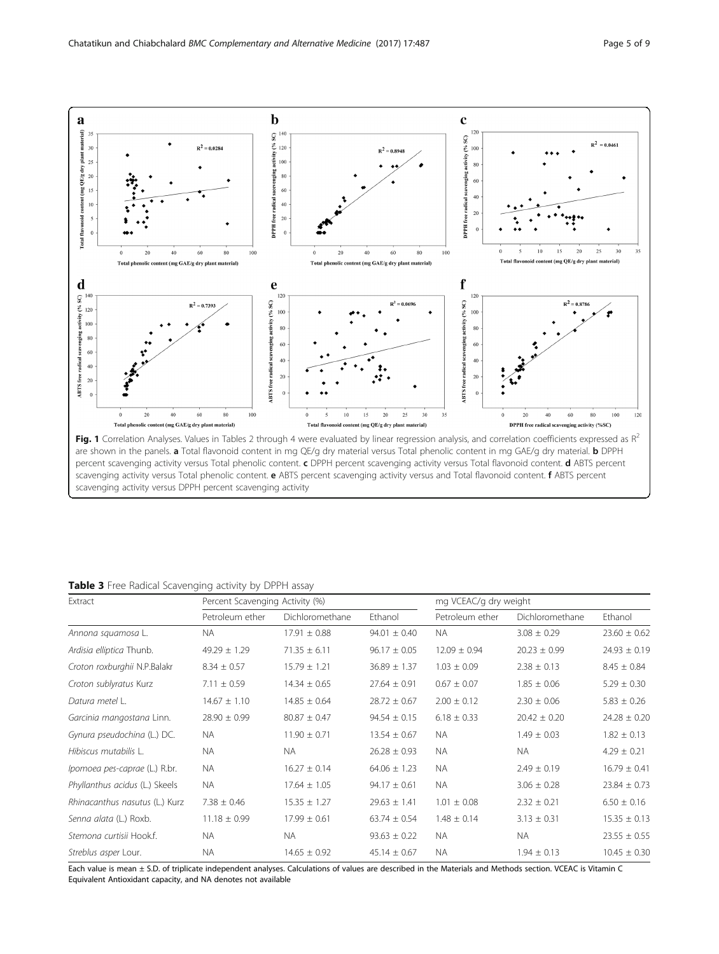<span id="page-4-0"></span>

|  |  |  | Table 3 Free Radical Scavenging activity by DPPH assay |  |  |  |  |  |
|--|--|--|--------------------------------------------------------|--|--|--|--|--|
|--|--|--|--------------------------------------------------------|--|--|--|--|--|

| Extract                        | Percent Scavenging Activity (%) |                  |                  | mg VCEAC/g dry weight |                  |                  |
|--------------------------------|---------------------------------|------------------|------------------|-----------------------|------------------|------------------|
|                                | Petroleum ether                 | Dichloromethane  | Ethanol          | Petroleum ether       | Dichloromethane  | Ethanol          |
| Annona squamosa L.             | NA.                             | $17.91 \pm 0.88$ | $94.01 \pm 0.40$ | NA.                   | $3.08 \pm 0.29$  | $23.60 \pm 0.62$ |
| Ardisia elliptica Thunb.       | $49.29 \pm 1.29$                | $71.35 \pm 6.11$ | $96.17 \pm 0.05$ | $12.09 \pm 0.94$      | $20.23 \pm 0.99$ | $24.93 \pm 0.19$ |
| Croton roxburghii N.P.Balakr   | $8.34 \pm 0.57$                 | $15.79 \pm 1.21$ | $36.89 \pm 1.37$ | $1.03 \pm 0.09$       | $2.38 \pm 0.13$  | $8.45 \pm 0.84$  |
| Croton sublyratus Kurz         | $7.11 \pm 0.59$                 | $14.34 \pm 0.65$ | $27.64 \pm 0.91$ | $0.67 \pm 0.07$       | $1.85 \pm 0.06$  | $5.29 \pm 0.30$  |
| Datura metel L.                | $14.67 \pm 1.10$                | $14.85 \pm 0.64$ | $28.72 \pm 0.67$ | $2.00 \pm 0.12$       | $2.30 \pm 0.06$  | $5.83 \pm 0.26$  |
| Garcinia mangostana Linn.      | $28.90 \pm 0.99$                | $80.87 \pm 0.47$ | $94.54 \pm 0.15$ | $6.18 \pm 0.33$       | $20.42 \pm 0.20$ | $24.28 \pm 0.20$ |
| Gynura pseudochina (L.) DC.    | <b>NA</b>                       | $11.90 \pm 0.71$ | $13.54 \pm 0.67$ | <b>NA</b>             | $1.49 \pm 0.03$  | $1.82 \pm 0.13$  |
| Hibiscus mutabilis L.          | <b>NA</b>                       | <b>NA</b>        | $26.28 \pm 0.93$ | <b>NA</b>             | <b>NA</b>        | $4.29 \pm 0.21$  |
| Ipomoea pes-caprae (L.) R.br.  | <b>NA</b>                       | $16.27 \pm 0.14$ | $64.06 \pm 1.23$ | <b>NA</b>             | $2.49 \pm 0.19$  | $16.79 \pm 0.41$ |
| Phyllanthus acidus (L.) Skeels | <b>NA</b>                       | $17.64 \pm 1.05$ | $94.17 \pm 0.61$ | <b>NA</b>             | $3.06 \pm 0.28$  | $23.84 \pm 0.73$ |
| Rhinacanthus nasutus (L.) Kurz | $7.38 \pm 0.46$                 | $15.35 \pm 1.27$ | $29.63 \pm 1.41$ | $1.01 \pm 0.08$       | $2.32 \pm 0.21$  | $6.50 \pm 0.16$  |
| Senna alata (L.) Roxb.         | $11.18 \pm 0.99$                | $17.99 \pm 0.61$ | $63.74 \pm 0.54$ | $1.48 \pm 0.14$       | $3.13 \pm 0.31$  | $15.35 \pm 0.13$ |
| Stemona curtisii Hook.f.       | NA.                             | NA.              | $93.63 \pm 0.22$ | <b>NA</b>             | <b>NA</b>        | $23.55 \pm 0.55$ |
| Streblus asper Lour.           | <b>NA</b>                       | $14.65 \pm 0.92$ | $45.14 \pm 0.67$ | <b>NA</b>             | $1.94 \pm 0.13$  | $10.45 \pm 0.30$ |

Each value is mean ± S.D. of triplicate independent analyses. Calculations of values are described in the Materials and Methods section. VCEAC is Vitamin C Equivalent Antioxidant capacity, and NA denotes not available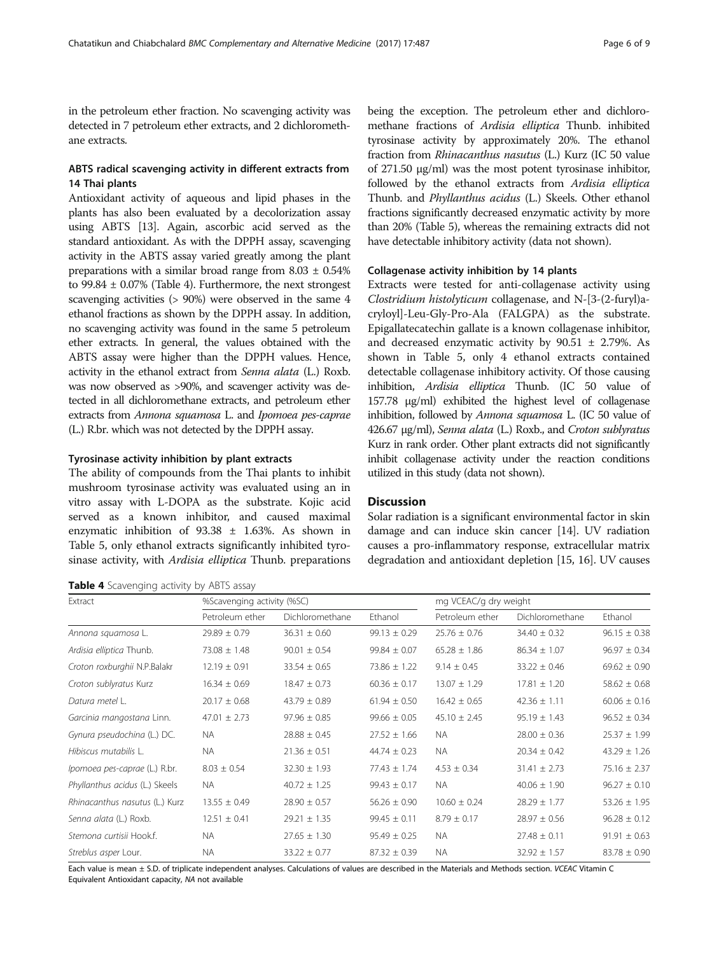<span id="page-5-0"></span>in the petroleum ether fraction. No scavenging activity was detected in 7 petroleum ether extracts, and 2 dichloromethane extracts.

## ABTS radical scavenging activity in different extracts from 14 Thai plants

Antioxidant activity of aqueous and lipid phases in the plants has also been evaluated by a decolorization assay using ABTS [[13\]](#page-8-0). Again, ascorbic acid served as the standard antioxidant. As with the DPPH assay, scavenging activity in the ABTS assay varied greatly among the plant preparations with a similar broad range from  $8.03 \pm 0.54\%$ to  $99.84 \pm 0.07\%$  (Table 4). Furthermore, the next strongest scavenging activities (> 90%) were observed in the same 4 ethanol fractions as shown by the DPPH assay. In addition, no scavenging activity was found in the same 5 petroleum ether extracts. In general, the values obtained with the ABTS assay were higher than the DPPH values. Hence, activity in the ethanol extract from Senna alata (L.) Roxb. was now observed as >90%, and scavenger activity was detected in all dichloromethane extracts, and petroleum ether extracts from Annona squamosa L. and Ipomoea pes-caprae (L.) R.br. which was not detected by the DPPH assay.

## Tyrosinase activity inhibition by plant extracts

The ability of compounds from the Thai plants to inhibit mushroom tyrosinase activity was evaluated using an in vitro assay with L-DOPA as the substrate. Kojic acid served as a known inhibitor, and caused maximal enzymatic inhibition of 93.38 ± 1.63%. As shown in Table [5,](#page-6-0) only ethanol extracts significantly inhibited tyrosinase activity, with *Ardisia elliptica* Thunb. preparations

|  | Table 4 Scavenging activity by ABTS assay |  |  |  |  |
|--|-------------------------------------------|--|--|--|--|
|--|-------------------------------------------|--|--|--|--|

being the exception. The petroleum ether and dichloromethane fractions of Ardisia elliptica Thunb. inhibited tyrosinase activity by approximately 20%. The ethanol fraction from Rhinacanthus nasutus (L.) Kurz (IC 50 value of 271.50 μg/ml) was the most potent tyrosinase inhibitor, followed by the ethanol extracts from Ardisia elliptica Thunb. and Phyllanthus acidus (L.) Skeels. Other ethanol fractions significantly decreased enzymatic activity by more than 20% (Table [5](#page-6-0)), whereas the remaining extracts did not have detectable inhibitory activity (data not shown).

## Collagenase activity inhibition by 14 plants

Extracts were tested for anti-collagenase activity using Clostridium histolyticum collagenase, and N-[3-(2-furyl)acryloyl]-Leu-Gly-Pro-Ala (FALGPA) as the substrate. Epigallatecatechin gallate is a known collagenase inhibitor, and decreased enzymatic activity by  $90.51 \pm 2.79$ %. As shown in Table [5](#page-6-0), only 4 ethanol extracts contained detectable collagenase inhibitory activity. Of those causing inhibition, Ardisia elliptica Thunb. (IC 50 value of 157.78 μg/ml) exhibited the highest level of collagenase inhibition, followed by Annona squamosa L. (IC 50 value of 426.67 μg/ml), Senna alata (L.) Roxb., and Croton sublyratus Kurz in rank order. Other plant extracts did not significantly inhibit collagenase activity under the reaction conditions utilized in this study (data not shown).

## **Discussion**

Solar radiation is a significant environmental factor in skin damage and can induce skin cancer [[14](#page-8-0)]. UV radiation causes a pro-inflammatory response, extracellular matrix degradation and antioxidant depletion [\[15, 16\]](#page-8-0). UV causes

| <b>NUMBER T</b> SCUVENCING UCCIVILY BY THEIR USSUY |                  |                                                     |                  |                  |                  |                  |  |
|----------------------------------------------------|------------------|-----------------------------------------------------|------------------|------------------|------------------|------------------|--|
| Extract                                            |                  | %Scavenging activity (%SC)<br>mg VCEAC/g dry weight |                  |                  |                  |                  |  |
|                                                    | Petroleum ether  | Dichloromethane                                     | Ethanol          | Petroleum ether  | Dichloromethane  | Ethanol          |  |
| Annona squamosa L.                                 | $29.89 \pm 0.79$ | $36.31 \pm 0.60$                                    | $99.13 \pm 0.29$ | $25.76 \pm 0.76$ | $34.40 \pm 0.32$ | $96.15 \pm 0.38$ |  |
| Ardisia elliptica Thunb.                           | $73.08 \pm 1.48$ | $90.01 \pm 0.54$                                    | $99.84 \pm 0.07$ | $65.28 \pm 1.86$ | $86.34 \pm 1.07$ | $96.97 \pm 0.34$ |  |
| Croton roxburghii N.P.Balakr                       | $12.19 \pm 0.91$ | $33.54 \pm 0.65$                                    | $73.86 \pm 1.22$ | $9.14 \pm 0.45$  | $33.22 \pm 0.46$ | $69.62 \pm 0.90$ |  |
| Croton sublyratus Kurz                             | $16.34 \pm 0.69$ | $18.47 \pm 0.73$                                    | $60.36 \pm 0.17$ | $13.07 \pm 1.29$ | $17.81 \pm 1.20$ | $58.62 \pm 0.68$ |  |
| Datura metel L.                                    | $20.17 \pm 0.68$ | $43.79 \pm 0.89$                                    | $61.94 \pm 0.50$ | $16.42 \pm 0.65$ | $42.36 \pm 1.11$ | $60.06 \pm 0.16$ |  |
| Garcinia mangostana Linn.                          | $47.01 \pm 2.73$ | $97.96 \pm 0.85$                                    | $99.66 \pm 0.05$ | $45.10 \pm 2.45$ | $95.19 \pm 1.43$ | $96.52 \pm 0.34$ |  |
| Gynura pseudochina (L.) DC.                        | NA.              | $28.88 \pm 0.45$                                    | $27.52 \pm 1.66$ | NA.              | $28.00 \pm 0.36$ | $25.37 \pm 1.99$ |  |
| Hibiscus mutabilis L.                              | NA.              | $21.36 \pm 0.51$                                    | $44.74 \pm 0.23$ | NA.              | $20.34 \pm 0.42$ | $43.29 \pm 1.26$ |  |
| Ipomoea pes-caprae (L.) R.br.                      | $8.03 \pm 0.54$  | $32.30 \pm 1.93$                                    | $77.43 \pm 1.74$ | $4.53 \pm 0.34$  | $31.41 \pm 2.73$ | $75.16 \pm 2.37$ |  |
| Phyllanthus acidus (L.) Skeels                     | NA.              | $40.72 \pm 1.25$                                    | $99.43 \pm 0.17$ | NA.              | $40.06 \pm 1.90$ | $96.27 \pm 0.10$ |  |
| Rhinacanthus nasutus (L.) Kurz                     | $13.55 \pm 0.49$ | $28.90 \pm 0.57$                                    | $56.26 \pm 0.90$ | $10.60 \pm 0.24$ | $28.29 \pm 1.77$ | $53.26 \pm 1.95$ |  |
| Senna alata (L.) Roxb.                             | $12.51 \pm 0.41$ | $29.21 \pm 1.35$                                    | $99.45 \pm 0.11$ | $8.79 \pm 0.17$  | $28.97 \pm 0.56$ | $96.28 \pm 0.12$ |  |
| Stemona curtisii Hook.f.                           | <b>NA</b>        | $27.65 \pm 1.30$                                    | $95.49 \pm 0.25$ | <b>NA</b>        | $27.48 \pm 0.11$ | $91.91 \pm 0.63$ |  |
| Streblus asper Lour.                               | NA.              | $33.22 \pm 0.77$                                    | $87.32 \pm 0.39$ | <b>NA</b>        | $32.92 \pm 1.57$ | $83.78 \pm 0.90$ |  |

Each value is mean ± S.D. of triplicate independent analyses. Calculations of values are described in the Materials and Methods section. VCEAC Vitamin C Equivalent Antioxidant capacity, NA not available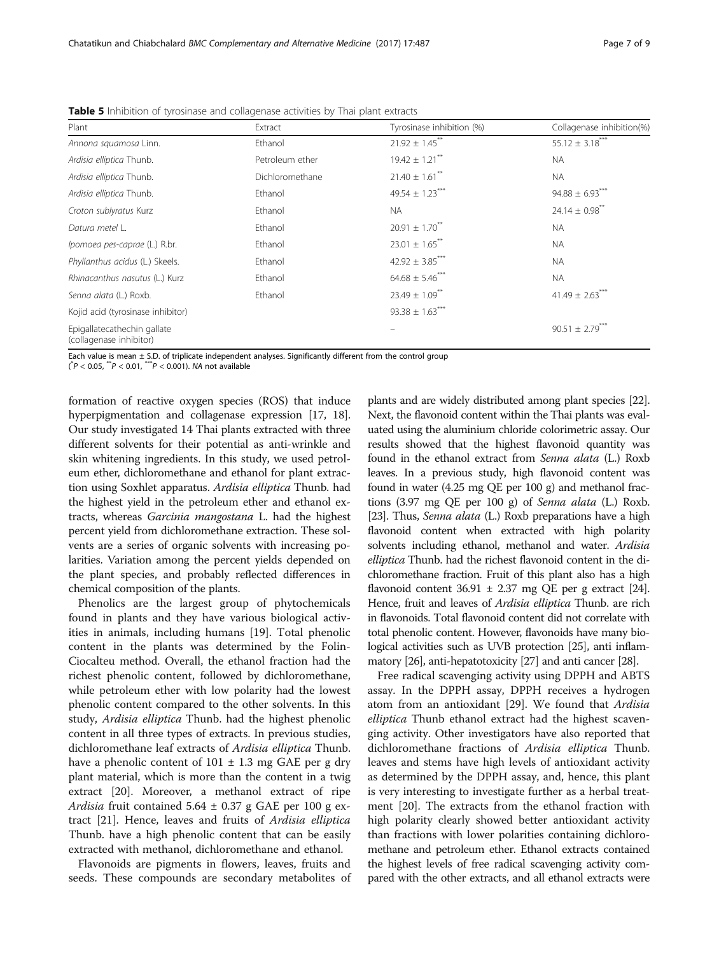| Plant                                                  | Extract         | Tyrosinase inhibition (%)       | Collagenase inhibition(%)      |
|--------------------------------------------------------|-----------------|---------------------------------|--------------------------------|
| Annona squamosa Linn.                                  | Ethanol         | $21.92 \pm 1.45$ <sup>**</sup>  | $55.12 \pm 3.18$ ***           |
| Ardisia elliptica Thunb.                               | Petroleum ether | $19.42 \pm 1.21$ <sup>**</sup>  | <b>NA</b>                      |
| Ardisia elliptica Thunb.                               | Dichloromethane | $21.40 \pm 1.61$ <sup>**</sup>  | NA.                            |
| Ardisia elliptica Thunb.                               | Ethanol         | 49.54 $\pm$ 1.23 <sup>***</sup> | $94.88 \pm 6.93$               |
| Croton sublyratus Kurz                                 | Ethanol         | <b>NA</b>                       | $24.14 \pm 0.98$ <sup>**</sup> |
| Datura metel L.                                        | Ethanol         | $20.91 \pm 1.70^{**}$           | <b>NA</b>                      |
| Ipomoea pes-caprae (L.) R.br.                          | Ethanol         | $23.01 \pm 1.65$ <sup>**</sup>  | <b>NA</b>                      |
| Phyllanthus acidus (L.) Skeels.                        | Ethanol         | 42.92 $\pm$ 3.85***             | <b>NA</b>                      |
| Rhinacanthus nasutus (L.) Kurz                         | Ethanol         | $64.68 \pm 5.46$ ***            | <b>NA</b>                      |
| Senna alata (L.) Roxb.                                 | Ethanol         | $23.49 \pm 1.09$ <sup>**</sup>  | $41.49 \pm 2.63$               |
| Kojid acid (tyrosinase inhibitor)                      |                 | $93.38 \pm 1.63$ ***            |                                |
| Epigallatecathechin gallate<br>(collagenase inhibitor) |                 |                                 | $90.51 \pm 2.79***$            |

<span id="page-6-0"></span>Table 5 Inhibition of tyrosinase and collagenase activities by Thai plant extracts

Each value is mean  $\pm$  S.D. of triplicate independent analyses. Significantly different from the control group

 $(\n<sup>*</sup>P < 0.05, <sup>**</sup>P < 0.01, <sup>***</sup>P < 0.001)$ . NA not available

formation of reactive oxygen species (ROS) that induce hyperpigmentation and collagenase expression [[17](#page-8-0), [18](#page-8-0)]. Our study investigated 14 Thai plants extracted with three different solvents for their potential as anti-wrinkle and skin whitening ingredients. In this study, we used petroleum ether, dichloromethane and ethanol for plant extraction using Soxhlet apparatus. Ardisia elliptica Thunb. had the highest yield in the petroleum ether and ethanol extracts, whereas Garcinia mangostana L. had the highest percent yield from dichloromethane extraction. These solvents are a series of organic solvents with increasing polarities. Variation among the percent yields depended on the plant species, and probably reflected differences in chemical composition of the plants.

Phenolics are the largest group of phytochemicals found in plants and they have various biological activities in animals, including humans [\[19\]](#page-8-0). Total phenolic content in the plants was determined by the Folin-Ciocalteu method. Overall, the ethanol fraction had the richest phenolic content, followed by dichloromethane, while petroleum ether with low polarity had the lowest phenolic content compared to the other solvents. In this study, Ardisia elliptica Thunb. had the highest phenolic content in all three types of extracts. In previous studies, dichloromethane leaf extracts of Ardisia elliptica Thunb. have a phenolic content of  $101 \pm 1.3$  mg GAE per g dry plant material, which is more than the content in a twig extract [\[20](#page-8-0)]. Moreover, a methanol extract of ripe Ardisia fruit contained  $5.64 \pm 0.37$  g GAE per 100 g extract [\[21](#page-8-0)]. Hence, leaves and fruits of Ardisia elliptica Thunb. have a high phenolic content that can be easily extracted with methanol, dichloromethane and ethanol.

Flavonoids are pigments in flowers, leaves, fruits and seeds. These compounds are secondary metabolites of

plants and are widely distributed among plant species [\[22](#page-8-0)]. Next, the flavonoid content within the Thai plants was evaluated using the aluminium chloride colorimetric assay. Our results showed that the highest flavonoid quantity was found in the ethanol extract from Senna alata (L.) Roxb leaves. In a previous study, high flavonoid content was found in water (4.25 mg QE per 100 g) and methanol fractions (3.97 mg QE per 100 g) of Senna alata (L.) Roxb. [[23](#page-8-0)]. Thus, Senna alata (L.) Roxb preparations have a high flavonoid content when extracted with high polarity solvents including ethanol, methanol and water. Ardisia elliptica Thunb. had the richest flavonoid content in the dichloromethane fraction. Fruit of this plant also has a high flavonoid content  $36.91 \pm 2.37$  mg QE per g extract [\[24](#page-8-0)]. Hence, fruit and leaves of Ardisia elliptica Thunb. are rich in flavonoids. Total flavonoid content did not correlate with total phenolic content. However, flavonoids have many biological activities such as UVB protection [[25](#page-8-0)], anti inflammatory [\[26\]](#page-8-0), anti-hepatotoxicity [\[27\]](#page-8-0) and anti cancer [\[28](#page-8-0)].

Free radical scavenging activity using DPPH and ABTS assay. In the DPPH assay, DPPH receives a hydrogen atom from an antioxidant [\[29\]](#page-8-0). We found that Ardisia elliptica Thunb ethanol extract had the highest scavenging activity. Other investigators have also reported that dichloromethane fractions of Ardisia elliptica Thunb. leaves and stems have high levels of antioxidant activity as determined by the DPPH assay, and, hence, this plant is very interesting to investigate further as a herbal treatment [\[20](#page-8-0)]. The extracts from the ethanol fraction with high polarity clearly showed better antioxidant activity than fractions with lower polarities containing dichloromethane and petroleum ether. Ethanol extracts contained the highest levels of free radical scavenging activity compared with the other extracts, and all ethanol extracts were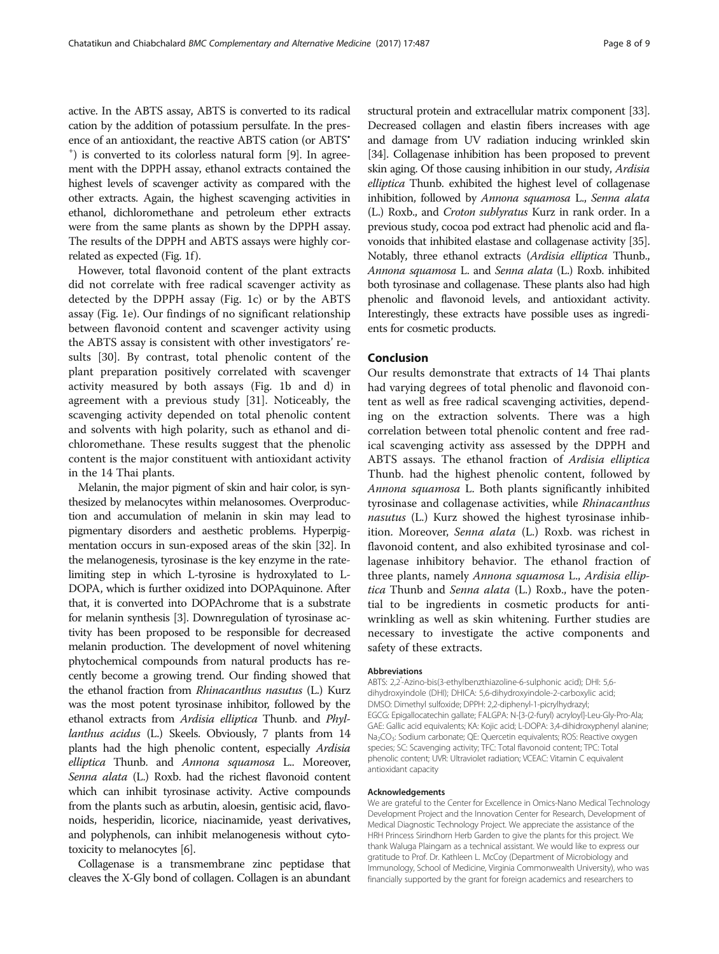active. In the ABTS assay, ABTS is converted to its radical cation by the addition of potassium persulfate. In the presence of an antioxidant, the reactive ABTS cation (or ABTS<sup>\*</sup> + ) is converted to its colorless natural form [\[9](#page-8-0)]. In agreement with the DPPH assay, ethanol extracts contained the highest levels of scavenger activity as compared with the other extracts. Again, the highest scavenging activities in ethanol, dichloromethane and petroleum ether extracts were from the same plants as shown by the DPPH assay. The results of the DPPH and ABTS assays were highly cor-related as expected (Fig. [1f](#page-4-0)).

However, total flavonoid content of the plant extracts did not correlate with free radical scavenger activity as detected by the DPPH assay (Fig. [1c\)](#page-4-0) or by the ABTS assay (Fig. [1e](#page-4-0)). Our findings of no significant relationship between flavonoid content and scavenger activity using the ABTS assay is consistent with other investigators' results [\[30](#page-8-0)]. By contrast, total phenolic content of the plant preparation positively correlated with scavenger activity measured by both assays (Fig. [1b and d](#page-4-0)) in agreement with a previous study [[31\]](#page-8-0). Noticeably, the scavenging activity depended on total phenolic content and solvents with high polarity, such as ethanol and dichloromethane. These results suggest that the phenolic content is the major constituent with antioxidant activity in the 14 Thai plants.

Melanin, the major pigment of skin and hair color, is synthesized by melanocytes within melanosomes. Overproduction and accumulation of melanin in skin may lead to pigmentary disorders and aesthetic problems. Hyperpigmentation occurs in sun-exposed areas of the skin [\[32\]](#page-8-0). In the melanogenesis, tyrosinase is the key enzyme in the ratelimiting step in which L-tyrosine is hydroxylated to L-DOPA, which is further oxidized into DOPAquinone. After that, it is converted into DOPAchrome that is a substrate for melanin synthesis [[3](#page-8-0)]. Downregulation of tyrosinase activity has been proposed to be responsible for decreased melanin production. The development of novel whitening phytochemical compounds from natural products has recently become a growing trend. Our finding showed that the ethanol fraction from Rhinacanthus nasutus (L.) Kurz was the most potent tyrosinase inhibitor, followed by the ethanol extracts from Ardisia elliptica Thunb. and Phyllanthus acidus (L.) Skeels. Obviously, 7 plants from 14 plants had the high phenolic content, especially Ardisia elliptica Thunb. and Annona squamosa L.. Moreover, Senna alata (L.) Roxb. had the richest flavonoid content which can inhibit tyrosinase activity. Active compounds from the plants such as arbutin, aloesin, gentisic acid, flavonoids, hesperidin, licorice, niacinamide, yeast derivatives, and polyphenols, can inhibit melanogenesis without cytotoxicity to melanocytes [\[6](#page-8-0)].

Collagenase is a transmembrane zinc peptidase that cleaves the X-Gly bond of collagen. Collagen is an abundant

structural protein and extracellular matrix component [\[33](#page-8-0)]. Decreased collagen and elastin fibers increases with age and damage from UV radiation inducing wrinkled skin [[34](#page-8-0)]. Collagenase inhibition has been proposed to prevent skin aging. Of those causing inhibition in our study, Ardisia elliptica Thunb. exhibited the highest level of collagenase inhibition, followed by Annona squamosa L., Senna alata (L.) Roxb., and Croton sublyratus Kurz in rank order. In a previous study, cocoa pod extract had phenolic acid and flavonoids that inhibited elastase and collagenase activity [\[35](#page-8-0)]. Notably, three ethanol extracts (Ardisia elliptica Thunb., Annona squamosa L. and Senna alata (L.) Roxb. inhibited both tyrosinase and collagenase. These plants also had high phenolic and flavonoid levels, and antioxidant activity. Interestingly, these extracts have possible uses as ingredients for cosmetic products.

## Conclusion

Our results demonstrate that extracts of 14 Thai plants had varying degrees of total phenolic and flavonoid content as well as free radical scavenging activities, depending on the extraction solvents. There was a high correlation between total phenolic content and free radical scavenging activity ass assessed by the DPPH and ABTS assays. The ethanol fraction of Ardisia elliptica Thunb. had the highest phenolic content, followed by Annona squamosa L. Both plants significantly inhibited tyrosinase and collagenase activities, while Rhinacanthus nasutus (L.) Kurz showed the highest tyrosinase inhibition. Moreover, Senna alata (L.) Roxb. was richest in flavonoid content, and also exhibited tyrosinase and collagenase inhibitory behavior. The ethanol fraction of three plants, namely Annona squamosa L., Ardisia elliptica Thunb and Senna alata (L.) Roxb., have the potential to be ingredients in cosmetic products for antiwrinkling as well as skin whitening. Further studies are necessary to investigate the active components and safety of these extracts.

#### Abbreviations

ABTS: 2,2′ -Azino-bis(3-ethylbenzthiazoline-6-sulphonic acid); DHI: 5,6 dihydroxyindole (DHI); DHICA: 5,6-dihydroxyindole-2-carboxylic acid; DMSO: Dimethyl sulfoxide; DPPH: 2,2-diphenyl-1-picrylhydrazyl; EGCG: Epigallocatechin gallate; FALGPA: N-[3-(2-furyl) acryloyl]-Leu-Gly-Pro-Ala; GAE: Gallic acid equivalents; KA: Kojic acid; L-DOPA: 3,4-dihidroxyphenyl alanine; Na<sub>2</sub>CO<sub>3</sub>: Sodium carbonate; QE: Quercetin equivalents; ROS: Reactive oxygen species; SC: Scavenging activity; TFC: Total flavonoid content; TPC: Total phenolic content; UVR: Ultraviolet radiation; VCEAC: Vitamin C equivalent antioxidant capacity

#### Acknowledgements

We are grateful to the Center for Excellence in Omics-Nano Medical Technology Development Project and the Innovation Center for Research, Development of Medical Diagnostic Technology Project. We appreciate the assistance of the HRH Princess Sirindhorn Herb Garden to give the plants for this project. We thank Waluga Plaingam as a technical assistant. We would like to express our gratitude to Prof. Dr. Kathleen L. McCoy (Department of Microbiology and Immunology, School of Medicine, Virginia Commonwealth University), who was financially supported by the grant for foreign academics and researchers to